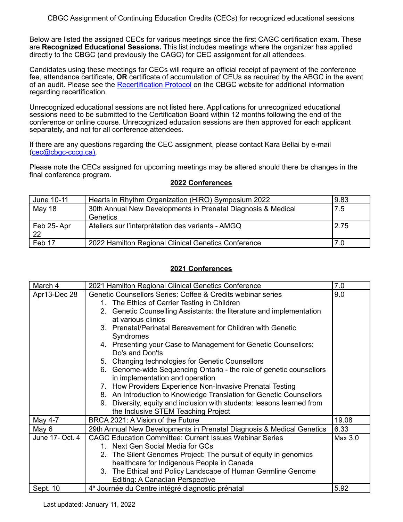Below are listed the assigned CECs for various meetings since the first CAGC certification exam. These are **Recognized Educational Sessions.** This list includes meetings where the organizer has applied directly to the CBGC (and previously the CAGC) for CEC assignment for all attendees.

Candidates using these meetings for CECs will require an official receipt of payment of the conference fee, attendance certificate, **OR** certificate of accumulation of CEUs as required by the ABGC in the event of an audit. Please see the [Recertification](https://www.cbgc-cccg.ca/?page=9) Protocol on the CBGC website for additional information regarding recertification.

Unrecognized educational sessions are not listed here. Applications for unrecognized educational sessions need to be submitted to the Certification Board within 12 months following the end of the conference or online course. Unrecognized education sessions are then approved for each applicant separately, and not for all conference attendees.

If there are any questions regarding the CEC assignment, please contact Kara Bellai by e-mail [\(cec@cbgc-cccg.ca\)](mailto:cec@cbgc-cccg.ca).

Please note the CECs assigned for upcoming meetings may be altered should there be changes in the final conference program.

| June 10-11    | Hearts in Rhythm Organization (HiRO) Symposium 2022          | 9.83 |
|---------------|--------------------------------------------------------------|------|
| <b>May 18</b> | 30th Annual New Developments in Prenatal Diagnosis & Medical | 7.5  |
|               | Genetics                                                     |      |
| Feb 25-Apr    | Ateliers sur l'interprétation des variants - AMGQ            | 2.75 |
| 22            |                                                              |      |
| Feb 17        | 2022 Hamilton Regional Clinical Genetics Conference          | 7.0  |

## **2022 Conferences**

| March 4         | 2021 Hamilton Regional Clinical Genetics Conference                       | 7.0     |
|-----------------|---------------------------------------------------------------------------|---------|
| Apr13-Dec 28    | Genetic Counsellors Series: Coffee & Credits webinar series               | 9.0     |
|                 | 1. The Ethics of Carrier Testing in Children                              |         |
|                 | 2. Genetic Counselling Assistants: the literature and implementation      |         |
|                 | at various clinics                                                        |         |
|                 | 3. Prenatal/Perinatal Bereavement for Children with Genetic               |         |
|                 | Syndromes                                                                 |         |
|                 | 4. Presenting your Case to Management for Genetic Counsellors:            |         |
|                 | Do's and Don'ts                                                           |         |
|                 | 5. Changing technologies for Genetic Counsellors                          |         |
|                 | 6. Genome-wide Sequencing Ontario - the role of genetic counsellors       |         |
|                 | in implementation and operation                                           |         |
|                 | 7. How Providers Experience Non-Invasive Prenatal Testing                 |         |
|                 | 8. An Introduction to Knowledge Translation for Genetic Counsellors       |         |
|                 | Diversity, equity and inclusion with students: lessons learned from<br>9. |         |
|                 | the Inclusive STEM Teaching Project                                       |         |
| May 4-7         | BRCA 2021: A Vision of the Future                                         | 19.08   |
| May 6           | 29th Annual New Developments in Prenatal Diagnosis & Medical Genetics     | 6.33    |
| June 17- Oct. 4 | <b>CAGC Education Committee: Current Issues Webinar Series</b>            | Max 3.0 |
|                 | 1. Next Gen Social Media for GCs                                          |         |
|                 | 2. The Silent Genomes Project: The pursuit of equity in genomics          |         |
|                 | healthcare for Indigenous People in Canada                                |         |
|                 | 3. The Ethical and Policy Landscape of Human Germline Genome              |         |
|                 | <b>Editing: A Canadian Perspective</b>                                    |         |
| Sept. 10        | 4 <sup>e</sup> Journée du Centre intégré diagnostic prénatal              | 5.92    |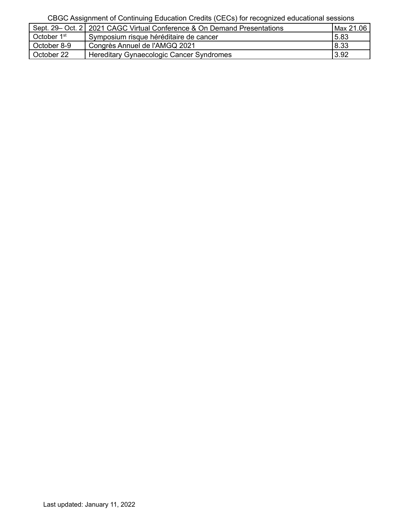|                         | Sept. 29– Oct. 2   2021 CAGC Virtual Conference & On Demand Presentations | Max 21.06 |
|-------------------------|---------------------------------------------------------------------------|-----------|
| October 1 <sup>st</sup> | Symposium risque héréditaire de cancer                                    | 5.83      |
| October 8-9             | Congrès Annuel de l'AMGQ 2021                                             | 8.33      |
| October 22              | Hereditary Gynaecologic Cancer Syndromes                                  | 3.92      |
|                         |                                                                           |           |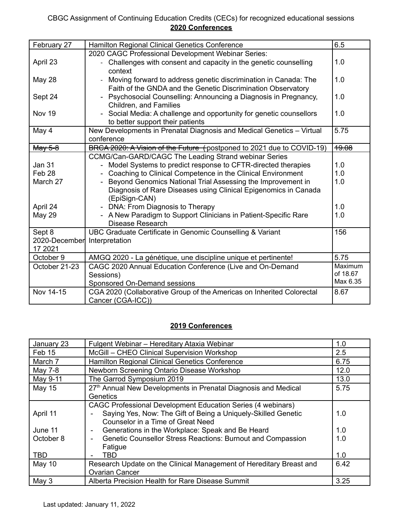| February 27             | <b>Hamilton Regional Clinical Genetics Conference</b>                                                                           | 6.5              |
|-------------------------|---------------------------------------------------------------------------------------------------------------------------------|------------------|
|                         | 2020 CAGC Professional Development Webinar Series:                                                                              |                  |
| April 23                | - Challenges with consent and capacity in the genetic counselling<br>context                                                    | 1.0              |
| <b>May 28</b>           | Moving forward to address genetic discrimination in Canada: The<br>Faith of the GNDA and the Genetic Discrimination Observatory | 1.0              |
| Sept 24                 | - Psychosocial Counselling: Announcing a Diagnosis in Pregnancy,<br>Children, and Families                                      | 1.0              |
| Nov 19                  | Social Media: A challenge and opportunity for genetic counsellors<br>to better support their patients                           | 1.0              |
| May 4                   | New Developments in Prenatal Diagnosis and Medical Genetics - Virtual<br>conference                                             | 5.75             |
| May 5-8                 | BRCA 2020: A Vision of the Future (postponed to 2021 due to COVID-19)                                                           | <del>19.08</del> |
|                         | CCMG/Can-GARD/CAGC The Leading Strand webinar Series                                                                            |                  |
| <b>Jan 31</b>           | - Model Systems to predict response to CFTR-directed therapies                                                                  | 1.0              |
| Feb <sub>28</sub>       | Coaching to Clinical Competence in the Clinical Environment                                                                     | 1.0              |
| March 27                | Beyond Genomics National Trial Assessing the Improvement in                                                                     | 1.0              |
|                         | Diagnosis of Rare Diseases using Clinical Epigenomics in Canada<br>(EpiSign-CAN)                                                |                  |
| April 24                | - DNA: From Diagnosis to Therapy                                                                                                | 1.0              |
| <b>May 29</b>           | - A New Paradigm to Support Clinicians in Patient-Specific Rare<br>Disease Research                                             | 1.0              |
| Sept 8<br>2020-December | UBC Graduate Certificate in Genomic Counselling & Variant<br>Interpretation                                                     | 156              |
| 17 2021                 |                                                                                                                                 |                  |
| October 9               | AMGQ 2020 - La génétique, une discipline unique et pertinente!                                                                  | 5.75             |
| October 21-23           | CAGC 2020 Annual Education Conference (Live and On-Demand                                                                       | Maximum          |
|                         | Sessions)                                                                                                                       | of 18.67         |
|                         | Sponsored On-Demand sessions                                                                                                    | Max 6.35         |
| Nov 14-15               | CGA 2020 (Collaborative Group of the Americas on Inherited Colorectal<br>Cancer (CGA-ICC))                                      | 8.67             |

| January 23                       | Fulgent Webinar - Hereditary Ataxia Webinar                                                                                                                                                                                                                                                     | 1.0               |
|----------------------------------|-------------------------------------------------------------------------------------------------------------------------------------------------------------------------------------------------------------------------------------------------------------------------------------------------|-------------------|
| Feb 15                           | McGill - CHEO Clinical Supervision Workshop                                                                                                                                                                                                                                                     | 2.5               |
| March 7                          | Hamilton Regional Clinical Genetics Conference                                                                                                                                                                                                                                                  | 6.75              |
| May 7-8                          | Newborn Screening Ontario Disease Workshop                                                                                                                                                                                                                                                      | 12.0              |
| May 9-11                         | The Garrod Symposium 2019                                                                                                                                                                                                                                                                       | 13.0              |
| <b>May 15</b>                    | 27th Annual New Developments in Prenatal Diagnosis and Medical                                                                                                                                                                                                                                  | 5.75              |
|                                  | Genetics                                                                                                                                                                                                                                                                                        |                   |
| April 11<br>June 11<br>October 8 | CAGC Professional Development Education Series (4 webinars)<br>Saying Yes, Now: The Gift of Being a Uniquely-Skilled Genetic<br>Counselor in a Time of Great Need<br>Generations in the Workplace: Speak and Be Heard<br>Genetic Counsellor Stress Reactions: Burnout and Compassion<br>Fatigue | 1.0<br>1.0<br>1.0 |
| <b>TBD</b>                       | TBD                                                                                                                                                                                                                                                                                             | 1.0               |
| <b>May 10</b>                    | Research Update on the Clinical Management of Hereditary Breast and<br><b>Ovarian Cancer</b>                                                                                                                                                                                                    | 6.42              |
| May 3                            | Alberta Precision Health for Rare Disease Summit                                                                                                                                                                                                                                                | 3.25              |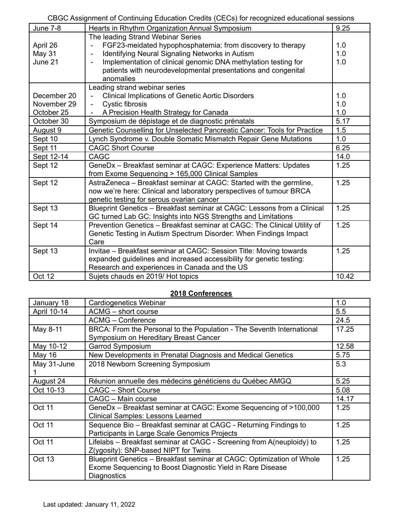| <b>June 7-8</b> | Hearts in Rhythm Organization Annual Symposium                           | 9.25  |
|-----------------|--------------------------------------------------------------------------|-------|
|                 | The leading Strand Webinar Series                                        |       |
| April 26        | FGF23-meidated hypophosphatemia: from discovery to therapy               | 1.0   |
| May 31          | Identifying Neural Signaling Networks in Autism<br>$\blacksquare$        | 1.0   |
| June 21         | Implementation of clinical genomic DNA methylation testing for           | 1.0   |
|                 | patients with neurodevelopmental presentations and congenital            |       |
|                 | anomalies                                                                |       |
|                 | Leading strand webinar series                                            |       |
| December 20     | <b>Clinical Implications of Genetic Aortic Disorders</b>                 | 1.0   |
| November 29     | Cystic fibrosis                                                          | 1.0   |
| October 25      | A Precision Health Strategy for Canada                                   | 1.0   |
| October 30      | Symposium de dépistage et de diagnostic prénatals                        | 5.17  |
| August 9        | Genetic Counselling for Unselected Pancreatic Cancer: Tools for Practice | 1.5   |
| Sept 10         | Lynch Syndrome v. Double Somatic Mismatch Repair Gene Mutations          | 1.0   |
| Sept 11         | <b>CAGC Short Course</b>                                                 | 6.25  |
| Sept 12-14      | <b>CAGC</b>                                                              | 14.0  |
| Sept 12         | GeneDx - Breakfast seminar at CAGC: Experience Matters: Updates          | 1.25  |
|                 | from Exome Sequencing > 165,000 Clinical Samples                         |       |
| Sept 12         | AstraZeneca - Breakfast seminar at CAGC: Started with the germline,      | 1.25  |
|                 | now we're here: Clinical and laboratory perspectives of tumour BRCA      |       |
|                 | genetic testing for serous ovarian cancer                                |       |
| Sept 13         | Blueprint Genetics - Breakfast seminar at CAGC: Lessons from a Clinical  | 1.25  |
|                 | GC turned Lab GC: Insights into NGS Strengths and Limitations            |       |
| Sept 14         | Prevention Genetics - Breakfast seminar at CAGC: The Clinical Utility of | 1.25  |
|                 | Genetic Testing in Autism Spectrum Disorder: When Findings Impact        |       |
|                 | Care                                                                     |       |
| Sept 13         | Invitae - Breakfast seminar at CAGC: Session Title: Moving towards       | 1.25  |
|                 | expanded guidelines and increased accessibility for genetic testing:     |       |
|                 | Research and experiences in Canada and the US                            |       |
| Oct 12          | Sujets chauds en 2019/ Hot topics                                        | 10.42 |

| January 18    | Cardiogenetics Webinar                                                | 1.0   |
|---------------|-----------------------------------------------------------------------|-------|
| April 10-14   | ACMG - short course                                                   | 5.5   |
|               | <b>ACMG - Conference</b>                                              | 24.5  |
| May 8-11      | BRCA: From the Personal to the Population - The Seventh International | 17.25 |
|               | Symposium on Hereditary Breast Cancer                                 |       |
| May 10-12     | Garrod Symposium                                                      | 12.58 |
| May 16        | New Developments in Prenatal Diagnosis and Medical Genetics           | 5.75  |
| May 31-June   | 2018 Newborn Screening Symposium                                      | 5.3   |
|               |                                                                       |       |
| August 24     | Réunion annuelle des médecins généticiens du Québec AMGQ              | 5.25  |
| Oct 10-13     | <b>CAGC - Short Course</b>                                            | 5.08  |
|               | CAGC - Main course                                                    | 14.17 |
| Oct 11        | GeneDx - Breakfast seminar at CAGC: Exome Sequencing of >100,000      | 1.25  |
|               | <b>Clinical Samples: Lessons Learned</b>                              |       |
| <b>Oct 11</b> | Sequence Bio - Breakfast seminar at CAGC - Returning Findings to      | 1.25  |
|               | Participants in Large Scale Genomics Projects                         |       |
| Oct 11        | Lifelabs - Breakfast seminar at CAGC - Screening from A(neuploidy) to | 1.25  |
|               | Z(ygosity): SNP-based NIPT for Twins                                  |       |
| <b>Oct 13</b> | Blueprint Genetics - Breakfast seminar at CAGC: Optimization of Whole | 1.25  |
|               | Exome Sequencing to Boost Diagnostic Yield in Rare Disease            |       |
|               | Diagnostics                                                           |       |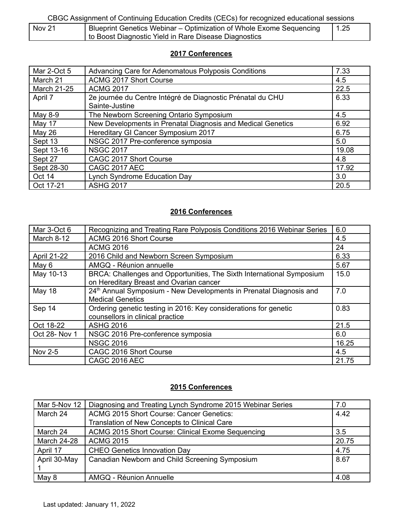| Nov 21 | Blueprint Genetics Webinar – Optimization of Whole Exome Sequencing |  | 1.25 |
|--------|---------------------------------------------------------------------|--|------|
|        | to Boost Diagnostic Yield in Rare Disease Diagnostics               |  |      |

## **2017 Conferences**

| Mar 2-Oct 5        | Advancing Care for Adenomatous Polyposis Conditions         | 7.33  |
|--------------------|-------------------------------------------------------------|-------|
| March 21           | <b>ACMG 2017 Short Course</b>                               | 4.5   |
| <b>March 21-25</b> | <b>ACMG 2017</b>                                            | 22.5  |
| April 7            | 2e journée du Centre Intégré de Diagnostic Prénatal du CHU  | 6.33  |
|                    | Sainte-Justine                                              |       |
| May 8-9            | The Newborn Screening Ontario Symposium                     | 4.5   |
| May 17             | New Developments in Prenatal Diagnosis and Medical Genetics | 6.92  |
| May 26             | Hereditary GI Cancer Symposium 2017                         | 6.75  |
| Sept 13            | NSGC 2017 Pre-conference symposia                           | 5.0   |
| Sept 13-16         | <b>NSGC 2017</b>                                            | 19.08 |
| Sept 27            | CAGC 2017 Short Course                                      | 4.8   |
| Sept 28-30         | <b>CAGC 2017 AEC</b>                                        | 17.92 |
| Oct 14             | Lynch Syndrome Education Day                                | 3.0   |
| Oct 17-21          | <b>ASHG 2017</b>                                            | 20.5  |

## **2016 Conferences**

| Mar 3-Oct 6        | Recognizing and Treating Rare Polyposis Conditions 2016 Webinar Series                                           | 6.0   |
|--------------------|------------------------------------------------------------------------------------------------------------------|-------|
| March 8-12         | ACMG 2016 Short Course                                                                                           | 4.5   |
|                    | <b>ACMG 2016</b>                                                                                                 | 24    |
| <b>April 21-22</b> | 2016 Child and Newborn Screen Symposium                                                                          | 6.33  |
| May 6              | AMGQ - Réunion annuelle                                                                                          | 5.67  |
| May 10-13          | BRCA: Challenges and Opportunities, The Sixth International Symposium<br>on Hereditary Breast and Ovarian cancer | 15.0  |
| <b>May 18</b>      | 24 <sup>th</sup> Annual Symposium - New Developments in Prenatal Diagnosis and<br><b>Medical Genetics</b>        | 7.0   |
| Sep 14             | Ordering genetic testing in 2016: Key considerations for genetic<br>counsellors in clinical practice             | 0.83  |
| Oct 18-22          | <b>ASHG 2016</b>                                                                                                 | 21.5  |
| Oct 28- Nov 1      | NSGC 2016 Pre-conference symposia                                                                                | 6.0   |
|                    | <b>NSGC 2016</b>                                                                                                 | 16.25 |
| Nov 2-5            | CAGC 2016 Short Course                                                                                           | 4.5   |
|                    | <b>CAGC 2016 AEC</b>                                                                                             | 21.75 |

| Mar 5-Nov 12       | Diagnosing and Treating Lynch Syndrome 2015 Webinar Series | 7.0   |
|--------------------|------------------------------------------------------------|-------|
| March 24           | <b>ACMG 2015 Short Course: Cancer Genetics:</b>            | 4.42  |
|                    | Translation of New Concepts to Clinical Care               |       |
| March 24           | ACMG 2015 Short Course: Clinical Exome Sequencing          | 3.5   |
| <b>March 24-28</b> | <b>ACMG 2015</b>                                           | 20.75 |
| April 17           | <b>CHEO Genetics Innovation Day</b>                        | 4.75  |
| April 30-May       | Canadian Newborn and Child Screening Symposium             | 8.67  |
|                    |                                                            |       |
| May 8              | AMGQ - Réunion Annuelle                                    | 4.08  |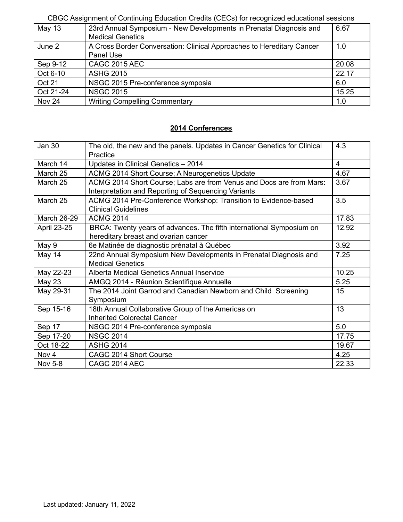| May 13    | 23rd Annual Symposium - New Developments in Prenatal Diagnosis and    | 6.67  |
|-----------|-----------------------------------------------------------------------|-------|
|           | <b>Medical Genetics</b>                                               |       |
| June 2    | A Cross Border Conversation: Clinical Approaches to Hereditary Cancer | 1.0   |
|           | Panel Use                                                             |       |
| Sep 9-12  | <b>CAGC 2015 AEC</b>                                                  | 20.08 |
| Oct 6-10  | <b>ASHG 2015</b>                                                      | 22.17 |
| Oct 21    | NSGC 2015 Pre-conference symposia                                     | 6.0   |
| Oct 21-24 | <b>NSGC 2015</b>                                                      | 15.25 |
| Nov 24    | <b>Writing Compelling Commentary</b>                                  | 1.0   |
|           |                                                                       |       |

| <b>Jan 30</b>      | The old, the new and the panels. Updates in Cancer Genetics for Clinical<br>Practice | 4.3                     |
|--------------------|--------------------------------------------------------------------------------------|-------------------------|
| March 14           |                                                                                      | $\overline{\mathbf{4}}$ |
|                    | Updates in Clinical Genetics - 2014                                                  |                         |
| March 25           | ACMG 2014 Short Course; A Neurogenetics Update                                       | 4.67                    |
| March 25           | ACMG 2014 Short Course; Labs are from Venus and Docs are from Mars:                  | 3.67                    |
|                    | Interpretation and Reporting of Sequencing Variants                                  |                         |
| March 25           | ACMG 2014 Pre-Conference Workshop: Transition to Evidence-based                      | 3.5                     |
|                    | <b>Clinical Guidelines</b>                                                           |                         |
| <b>March 26-29</b> | <b>ACMG 2014</b>                                                                     | 17.83                   |
| April 23-25        | BRCA: Twenty years of advances. The fifth international Symposium on                 | 12.92                   |
|                    | hereditary breast and ovarian cancer                                                 |                         |
| May 9              | 6e Matinée de diagnostic prénatal à Québec                                           | 3.92                    |
| May 14             | 22nd Annual Symposium New Developments in Prenatal Diagnosis and                     | 7.25                    |
|                    | <b>Medical Genetics</b>                                                              |                         |
| May 22-23          | Alberta Medical Genetics Annual Inservice                                            | 10.25                   |
| May 23             | AMGQ 2014 - Réunion Scientifique Annuelle                                            | 5.25                    |
| May 29-31          | The 2014 Joint Garrod and Canadian Newborn and Child Screening                       | 15                      |
|                    | Symposium                                                                            |                         |
| Sep 15-16          | 18th Annual Collaborative Group of the Americas on                                   | 13                      |
|                    | <b>Inherited Colorectal Cancer</b>                                                   |                         |
| Sep 17             | NSGC 2014 Pre-conference symposia                                                    | 5.0                     |
| Sep 17-20          | <b>NSGC 2014</b>                                                                     | 17.75                   |
| Oct 18-22          | <b>ASHG 2014</b>                                                                     | 19.67                   |
| Nov <sub>4</sub>   | CAGC 2014 Short Course                                                               | 4.25                    |
| Nov 5-8            | CAGC 2014 AEC                                                                        | 22.33                   |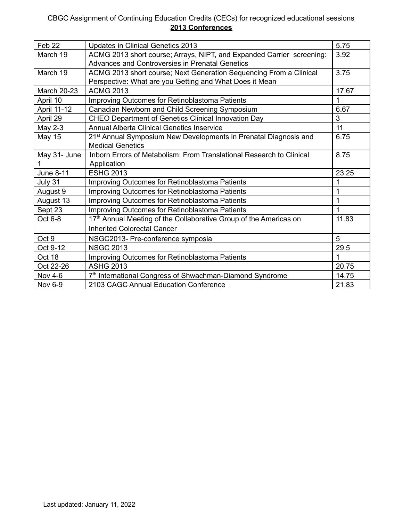| Feb <sub>22</sub>  | Updates in Clinical Genetics 2013                                             | 5.75  |
|--------------------|-------------------------------------------------------------------------------|-------|
| March 19           | ACMG 2013 short course; Arrays, NIPT, and Expanded Carrier screening:         | 3.92  |
|                    | Advances and Controversies in Prenatal Genetics                               |       |
| March 19           | ACMG 2013 short course; Next Generation Sequencing From a Clinical            | 3.75  |
|                    | Perspective: What are you Getting and What Does it Mean                       |       |
| <b>March 20-23</b> | <b>ACMG 2013</b>                                                              | 17.67 |
| April 10           | Improving Outcomes for Retinoblastoma Patients                                | 1     |
| April 11-12        | Canadian Newborn and Child Screening Symposium                                | 6.67  |
| April 29           | <b>CHEO Department of Genetics Clinical Innovation Day</b>                    | 3     |
| May 2-3            | <b>Annual Alberta Clinical Genetics Inservice</b>                             | 11    |
| <b>May 15</b>      | 21 <sup>st</sup> Annual Symposium New Developments in Prenatal Diagnosis and  | 6.75  |
|                    | <b>Medical Genetics</b>                                                       |       |
| May 31- June       | Inborn Errors of Metabolism: From Translational Research to Clinical          | 8.75  |
|                    | Application                                                                   |       |
| June 8-11          | <b>ESHG 2013</b>                                                              | 23.25 |
| July 31            | Improving Outcomes for Retinoblastoma Patients                                | 1     |
| August 9           | Improving Outcomes for Retinoblastoma Patients                                | 1     |
| August 13          | Improving Outcomes for Retinoblastoma Patients                                | 1     |
| Sept 23            | Improving Outcomes for Retinoblastoma Patients                                | 1     |
| Oct 6-8            | 17 <sup>th</sup> Annual Meeting of the Collaborative Group of the Americas on | 11.83 |
|                    | <b>Inherited Colorectal Cancer</b>                                            |       |
| Oct 9              | NSGC2013- Pre-conference symposia                                             | 5     |
| Oct 9-12           | <b>NSGC 2013</b>                                                              | 29.5  |
| Oct 18             | Improving Outcomes for Retinoblastoma Patients                                |       |
| Oct 22-26          | <b>ASHG 2013</b>                                                              | 20.75 |
| <b>Nov 4-6</b>     | 7 <sup>th</sup> International Congress of Shwachman-Diamond Syndrome          | 14.75 |
| <b>Nov 6-9</b>     | 2103 CAGC Annual Education Conference                                         | 21.83 |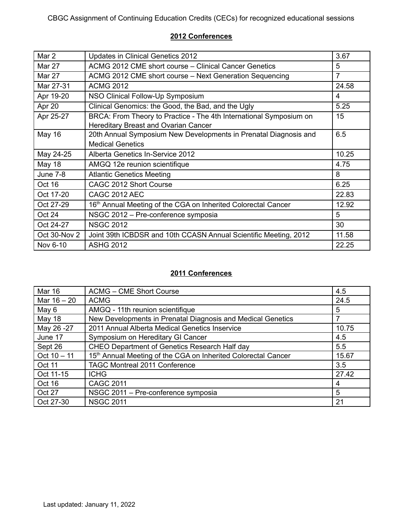| Mar 2           | Updates in Clinical Genetics 2012                                                                                 | 3.67  |
|-----------------|-------------------------------------------------------------------------------------------------------------------|-------|
| <b>Mar 27</b>   | ACMG 2012 CME short course – Clinical Cancer Genetics                                                             | 5     |
| <b>Mar 27</b>   | ACMG 2012 CME short course – Next Generation Sequencing                                                           | 7     |
| Mar 27-31       | <b>ACMG 2012</b>                                                                                                  | 24.58 |
| Apr 19-20       | NSO Clinical Follow-Up Symposium                                                                                  | 4     |
| Apr 20          | Clinical Genomics: the Good, the Bad, and the Ugly                                                                | 5.25  |
| Apr 25-27       | BRCA: From Theory to Practice - The 4th International Symposium on<br><b>Hereditary Breast and Ovarian Cancer</b> | 15    |
| <b>May 16</b>   | 20th Annual Symposium New Developments in Prenatal Diagnosis and                                                  | 6.5   |
|                 | <b>Medical Genetics</b>                                                                                           |       |
| May 24-25       | Alberta Genetics In-Service 2012                                                                                  | 10.25 |
| <b>May 18</b>   | AMGQ 12e reunion scientifique                                                                                     | 4.75  |
| <b>June 7-8</b> | <b>Atlantic Genetics Meeting</b>                                                                                  | 8     |
| Oct 16          | CAGC 2012 Short Course                                                                                            | 6.25  |
| Oct 17-20       | <b>CAGC 2012 AEC</b>                                                                                              | 22.83 |
| Oct 27-29       | 16 <sup>th</sup> Annual Meeting of the CGA on Inherited Colorectal Cancer                                         | 12.92 |
| Oct 24          | NSGC 2012 - Pre-conference symposia                                                                               | 5     |
| Oct 24-27       | <b>NSGC 2012</b>                                                                                                  | 30    |
| Oct 30-Nov 2    | Joint 39th ICBDSR and 10th CCASN Annual Scientific Meeting, 2012                                                  | 11.58 |
| Nov 6-10        | <b>ASHG 2012</b>                                                                                                  | 22.25 |

| <b>Mar 16</b> | <b>ACMG – CME Short Course</b>                                | 4.5   |
|---------------|---------------------------------------------------------------|-------|
| Mar $16 - 20$ | <b>ACMG</b>                                                   | 24.5  |
| May 6         | AMGQ - 11th reunion scientifique                              | 5     |
| May 18        | New Developments in Prenatal Diagnosis and Medical Genetics   |       |
| May 26 -27    | 2011 Annual Alberta Medical Genetics Inservice                | 10.75 |
| June 17       | Symposium on Hereditary GI Cancer                             | 4.5   |
| Sept 26       | <b>CHEO Department of Genetics Research Half day</b>          | 5.5   |
| Oct $10 - 11$ | 15th Annual Meeting of the CGA on Inherited Colorectal Cancer | 15.67 |
| Oct 11        | <b>TAGC Montreal 2011 Conference</b>                          | 3.5   |
| Oct 11-15     | <b>ICHG</b>                                                   | 27.42 |
| Oct 16        | <b>CAGC 2011</b>                                              | 4     |
| Oct 27        | NSGC 2011 - Pre-conference symposia                           | 5     |
| Oct 27-30     | <b>NSGC 2011</b>                                              | 21    |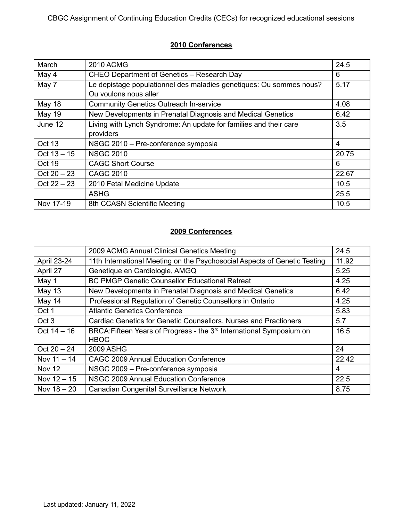| March         | <b>2010 ACMG</b>                                                    | 24.5  |
|---------------|---------------------------------------------------------------------|-------|
| May 4         | CHEO Department of Genetics - Research Day                          | 6     |
| May 7         | Le depistage populationnel des maladies genetiques: Ou sommes nous? | 5.17  |
|               | Ou voulons nous aller                                               |       |
| May 18        | <b>Community Genetics Outreach In-service</b>                       | 4.08  |
| May 19        | New Developments in Prenatal Diagnosis and Medical Genetics         | 6.42  |
| June 12       | Living with Lynch Syndrome: An update for families and their care   | 3.5   |
|               | providers                                                           |       |
| Oct 13        | NSGC 2010 - Pre-conference symposia                                 | 4     |
| $Oct 13 - 15$ | <b>NSGC 2010</b>                                                    | 20.75 |
| Oct 19        | <b>CAGC Short Course</b>                                            | 6     |
| $Oct 20 - 23$ | <b>CAGC 2010</b>                                                    | 22.67 |
| $Oct 22 - 23$ | 2010 Fetal Medicine Update                                          | 10.5  |
|               | <b>ASHG</b>                                                         | 25.5  |
| Nov 17-19     | 8th CCASN Scientific Meeting                                        | 10.5  |

|                  | 2009 ACMG Annual Clinical Genetics Meeting                                                      | 24.5  |
|------------------|-------------------------------------------------------------------------------------------------|-------|
| April 23-24      | 11th International Meeting on the Psychosocial Aspects of Genetic Testing                       | 11.92 |
| April 27         | Genetique en Cardiologie, AMGQ                                                                  | 5.25  |
| May 1            | <b>BC PMGP Genetic Counsellor Educational Retreat</b>                                           | 4.25  |
| <b>May 13</b>    | New Developments in Prenatal Diagnosis and Medical Genetics                                     | 6.42  |
| May 14           | Professional Regulation of Genetic Counsellors in Ontario                                       | 4.25  |
| Oct 1            | <b>Atlantic Genetics Conference</b>                                                             | 5.83  |
| Oct <sub>3</sub> | Cardiac Genetics for Genetic Counsellors, Nurses and Practioners                                | 5.7   |
| Oct $14 - 16$    | BRCA: Fifteen Years of Progress - the 3 <sup>rd</sup> International Symposium on<br><b>HBOC</b> | 16.5  |
| $Oct 20 - 24$    | 2009 ASHG                                                                                       | 24    |
| Nov $11 - 14$    | <b>CAGC 2009 Annual Education Conference</b>                                                    | 22.42 |
| <b>Nov 12</b>    | NSGC 2009 - Pre-conference symposia                                                             | 4     |
| Nov $12 - 15$    | NSGC 2009 Annual Education Conference                                                           | 22.5  |
| Nov $18 - 20$    | Canadian Congenital Surveillance Network                                                        | 8.75  |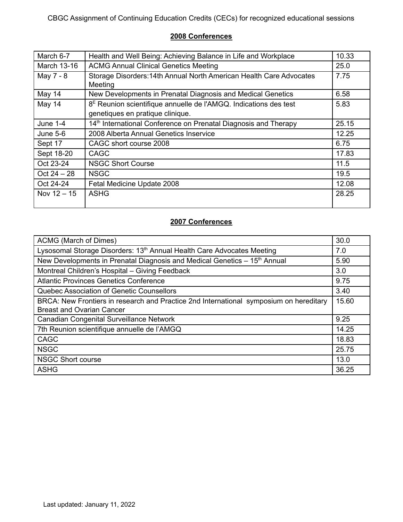| March 6-7     | Health and Well Being: Achieving Balance in Life and Workplace                 | 10.33 |
|---------------|--------------------------------------------------------------------------------|-------|
| March 13-16   | <b>ACMG Annual Clinical Genetics Meeting</b>                                   | 25.0  |
| May 7 - 8     | Storage Disorders: 14th Annual North American Health Care Advocates<br>Meeting | 7.75  |
| May 14        | New Developments in Prenatal Diagnosis and Medical Genetics                    | 6.58  |
| May 14        | $8E$ Reunion scientifique annuelle de l'AMGQ. Indications des test             | 5.83  |
|               | genetiques en pratique clinique.                                               |       |
| June $1-4$    | 14 <sup>th</sup> International Conference on Prenatal Diagnosis and Therapy    | 25.15 |
| June $5-6$    | 2008 Alberta Annual Genetics Inservice                                         | 12.25 |
| Sept 17       | CAGC short course 2008                                                         | 6.75  |
| Sept 18-20    | <b>CAGC</b>                                                                    | 17.83 |
| Oct 23-24     | <b>NSGC Short Course</b>                                                       | 11.5  |
| $Oct 24 - 28$ | <b>NSGC</b>                                                                    | 19.5  |
| Oct 24-24     | Fetal Medicine Update 2008                                                     | 12.08 |
| Nov $12 - 15$ | <b>ASHG</b>                                                                    | 28.25 |

| ACMG (March of Dimes)                                                                  | 30.0  |
|----------------------------------------------------------------------------------------|-------|
| Lysosomal Storage Disorders: 13 <sup>th</sup> Annual Health Care Advocates Meeting     | 7.0   |
| New Developments in Prenatal Diagnosis and Medical Genetics - 15 <sup>th</sup> Annual  | 5.90  |
| Montreal Children's Hospital - Giving Feedback                                         | 3.0   |
| <b>Atlantic Provinces Genetics Conference</b>                                          | 9.75  |
| Quebec Association of Genetic Counsellors                                              | 3.40  |
| BRCA: New Frontiers in research and Practice 2nd International symposium on hereditary |       |
| <b>Breast and Ovarian Cancer</b>                                                       |       |
| Canadian Congenital Surveillance Network                                               | 9.25  |
| 7th Reunion scientifique annuelle de l'AMGQ                                            | 14.25 |
| <b>CAGC</b>                                                                            | 18.83 |
| <b>NSGC</b>                                                                            | 25.75 |
| <b>NSGC Short course</b>                                                               | 13.0  |
| <b>ASHG</b>                                                                            | 36.25 |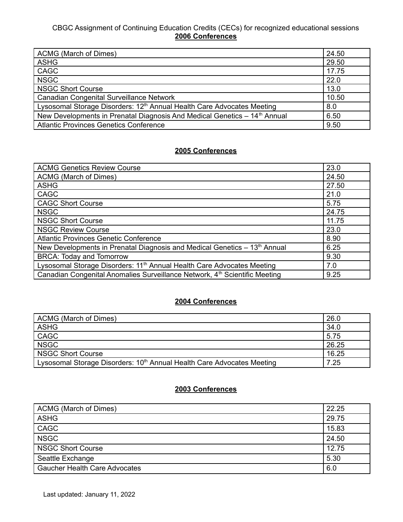| ACMG (March of Dimes)                                                                         | 24.50 |
|-----------------------------------------------------------------------------------------------|-------|
| <b>ASHG</b>                                                                                   | 29.50 |
| <b>CAGC</b>                                                                                   | 17.75 |
| <b>NSGC</b>                                                                                   | 22.0  |
| <b>NSGC Short Course</b><br>13.0                                                              |       |
| <b>Canadian Congenital Surveillance Network</b><br>10.50                                      |       |
| Lysosomal Storage Disorders: 12 <sup>th</sup> Annual Health Care Advocates Meeting<br>8.0     |       |
| New Developments in Prenatal Diagnosis And Medical Genetics - 14 <sup>th</sup> Annual<br>6.50 |       |
| <b>Atlantic Provinces Genetics Conference</b>                                                 | 9.50  |

# **2005 Conferences**

| <b>ACMG Genetics Review Course</b>                                                            | 23.0  |
|-----------------------------------------------------------------------------------------------|-------|
| ACMG (March of Dimes)                                                                         | 24.50 |
| <b>ASHG</b>                                                                                   | 27.50 |
| <b>CAGC</b>                                                                                   | 21.0  |
| <b>CAGC Short Course</b>                                                                      | 5.75  |
| <b>NSGC</b>                                                                                   | 24.75 |
| <b>NSGC Short Course</b>                                                                      | 11.75 |
| <b>NSGC Review Course</b><br>23.0                                                             |       |
| <b>Atlantic Provinces Genetic Conference</b><br>8.90                                          |       |
| New Developments in Prenatal Diagnosis and Medical Genetics - 13 <sup>th</sup> Annual<br>6.25 |       |
| <b>BRCA: Today and Tomorrow</b><br>9.30                                                       |       |
| Lysosomal Storage Disorders: 11 <sup>th</sup> Annual Health Care Advocates Meeting            |       |
| Canadian Congenital Anomalies Surveillance Network, 4 <sup>th</sup> Scientific Meeting        | 9.25  |

#### **2004 Conferences**

| ACMG (March of Dimes)                                                              |       |
|------------------------------------------------------------------------------------|-------|
| <b>ASHG</b>                                                                        | 34.0  |
| CAGC                                                                               | 5.75  |
| <b>NSGC</b>                                                                        | 26.25 |
| NSGC Short Course                                                                  | 16.25 |
| Lysosomal Storage Disorders: 10 <sup>th</sup> Annual Health Care Advocates Meeting | 7.25  |

| 22.25<br>ACMG (March of Dimes)              |       |
|---------------------------------------------|-------|
| <b>ASHG</b>                                 | 29.75 |
| CAGC                                        | 15.83 |
| <b>NSGC</b>                                 | 24.50 |
| NSGC Short Course                           | 12.75 |
| 5.30<br>Seattle Exchange                    |       |
| <b>Gaucher Health Care Advocates</b><br>6.0 |       |